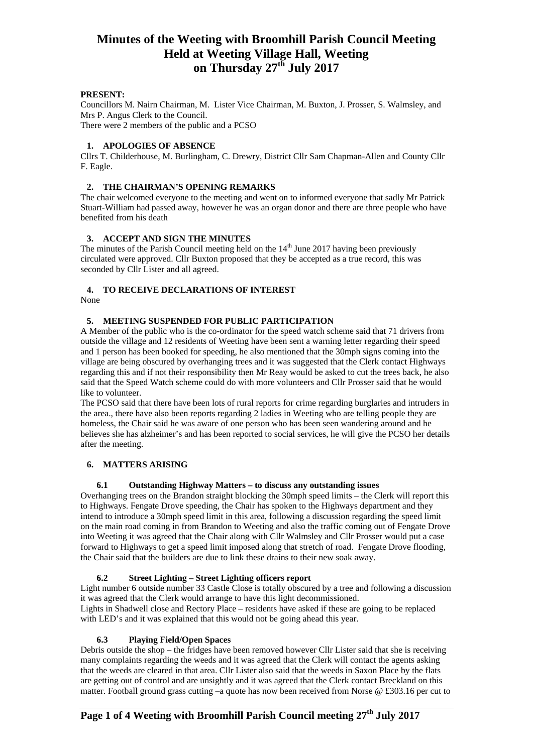## **PRESENT:**

Councillors M. Nairn Chairman, M. Lister Vice Chairman, M. Buxton, J. Prosser, S. Walmsley, and Mrs P. Angus Clerk to the Council.

There were 2 members of the public and a PCSO

## **1. APOLOGIES OF ABSENCE**

Cllrs T. Childerhouse, M. Burlingham, C. Drewry, District Cllr Sam Chapman-Allen and County Cllr F. Eagle.

## **2. THE CHAIRMAN'S OPENING REMARKS**

The chair welcomed everyone to the meeting and went on to informed everyone that sadly Mr Patrick Stuart-William had passed away, however he was an organ donor and there are three people who have benefited from his death

## **3. ACCEPT AND SIGN THE MINUTES**

The minutes of the Parish Council meeting held on the  $14<sup>th</sup>$  June 2017 having been previously circulated were approved. Cllr Buxton proposed that they be accepted as a true record, this was seconded by Cllr Lister and all agreed.

# **4. TO RECEIVE DECLARATIONS OF INTEREST**

None

# **5. MEETING SUSPENDED FOR PUBLIC PARTICIPATION**

A Member of the public who is the co-ordinator for the speed watch scheme said that 71 drivers from outside the village and 12 residents of Weeting have been sent a warning letter regarding their speed and 1 person has been booked for speeding, he also mentioned that the 30mph signs coming into the village are being obscured by overhanging trees and it was suggested that the Clerk contact Highways regarding this and if not their responsibility then Mr Reay would be asked to cut the trees back, he also said that the Speed Watch scheme could do with more volunteers and Cllr Prosser said that he would like to volunteer.

The PCSO said that there have been lots of rural reports for crime regarding burglaries and intruders in the area., there have also been reports regarding 2 ladies in Weeting who are telling people they are homeless, the Chair said he was aware of one person who has been seen wandering around and he believes she has alzheimer's and has been reported to social services, he will give the PCSO her details after the meeting.

# **6. MATTERS ARISING**

#### **6.1 Outstanding Highway Matters – to discuss any outstanding issues**

Overhanging trees on the Brandon straight blocking the 30mph speed limits – the Clerk will report this to Highways. Fengate Drove speeding, the Chair has spoken to the Highways department and they intend to introduce a 30mph speed limit in this area, following a discussion regarding the speed limit on the main road coming in from Brandon to Weeting and also the traffic coming out of Fengate Drove into Weeting it was agreed that the Chair along with Cllr Walmsley and Cllr Prosser would put a case forward to Highways to get a speed limit imposed along that stretch of road. Fengate Drove flooding, the Chair said that the builders are due to link these drains to their new soak away.

# **6.2 Street Lighting – Street Lighting officers report**

Light number 6 outside number 33 Castle Close is totally obscured by a tree and following a discussion it was agreed that the Clerk would arrange to have this light decommissioned. Lights in Shadwell close and Rectory Place – residents have asked if these are going to be replaced with LED's and it was explained that this would not be going ahead this year.

# **6.3 Playing Field/Open Spaces**

Debris outside the shop – the fridges have been removed however Cllr Lister said that she is receiving many complaints regarding the weeds and it was agreed that the Clerk will contact the agents asking that the weeds are cleared in that area. Cllr Lister also said that the weeds in Saxon Place by the flats are getting out of control and are unsightly and it was agreed that the Clerk contact Breckland on this matter. Football ground grass cutting –a quote has now been received from Norse @ £303.16 per cut to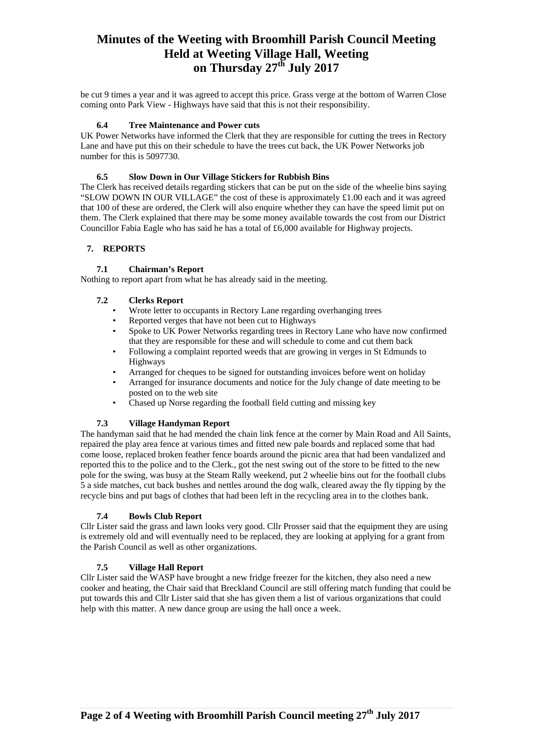be cut 9 times a year and it was agreed to accept this price. Grass verge at the bottom of Warren Close coming onto Park View - Highways have said that this is not their responsibility.

#### **6.4 Tree Maintenance and Power cuts**

UK Power Networks have informed the Clerk that they are responsible for cutting the trees in Rectory Lane and have put this on their schedule to have the trees cut back, the UK Power Networks job number for this is 5097730.

## **6.5 Slow Down in Our Village Stickers for Rubbish Bins**

The Clerk has received details regarding stickers that can be put on the side of the wheelie bins saying "SLOW DOWN IN OUR VILLAGE" the cost of these is approximately £1.00 each and it was agreed that 100 of these are ordered, the Clerk will also enquire whether they can have the speed limit put on them. The Clerk explained that there may be some money available towards the cost from our District Councillor Fabia Eagle who has said he has a total of £6,000 available for Highway projects.

## **7. REPORTS**

## **7.1 Chairman's Report**

Nothing to report apart from what he has already said in the meeting.

## **7.2 Clerks Report**

- Wrote letter to occupants in Rectory Lane regarding overhanging trees
- Reported verges that have not been cut to Highways
- Spoke to UK Power Networks regarding trees in Rectory Lane who have now confirmed that they are responsible for these and will schedule to come and cut them back
- Following a complaint reported weeds that are growing in verges in St Edmunds to Highways
- Arranged for cheques to be signed for outstanding invoices before went on holiday
- Arranged for insurance documents and notice for the July change of date meeting to be posted on to the web site
- Chased up Norse regarding the football field cutting and missing key

#### **7.3 Village Handyman Report**

The handyman said that he had mended the chain link fence at the corner by Main Road and All Saints, repaired the play area fence at various times and fitted new pale boards and replaced some that had come loose, replaced broken feather fence boards around the picnic area that had been vandalized and reported this to the police and to the Clerk., got the nest swing out of the store to be fitted to the new pole for the swing, was busy at the Steam Rally weekend, put 2 wheelie bins out for the football clubs 5 a side matches, cut back bushes and nettles around the dog walk, cleared away the fly tipping by the recycle bins and put bags of clothes that had been left in the recycling area in to the clothes bank.

# **7.4 Bowls Club Report**

Cllr Lister said the grass and lawn looks very good. Cllr Prosser said that the equipment they are using is extremely old and will eventually need to be replaced, they are looking at applying for a grant from the Parish Council as well as other organizations.

# **7.5 Village Hall Report**

Cllr Lister said the WASP have brought a new fridge freezer for the kitchen, they also need a new cooker and heating, the Chair said that Breckland Council are still offering match funding that could be put towards this and Cllr Lister said that she has given them a list of various organizations that could help with this matter. A new dance group are using the hall once a week.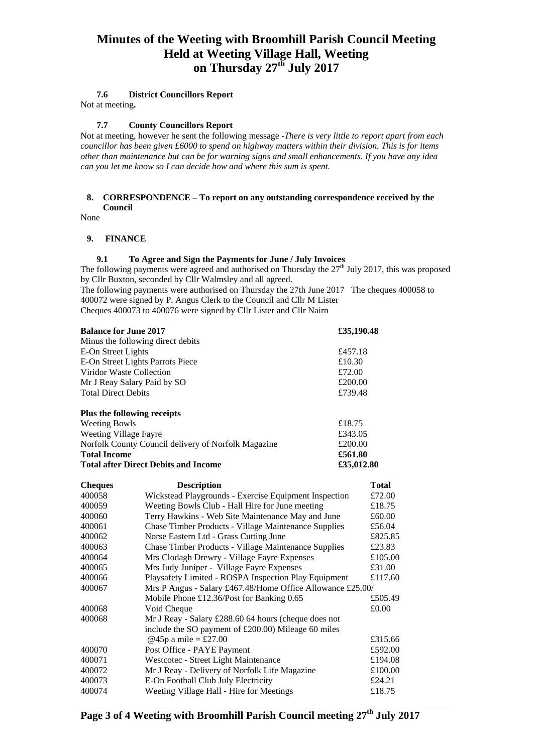#### **7.6 District Councillors Report**

Not at meeting**.** 

## **7.7 County Councillors Report**

Not at meeting, however he sent the following message -*There is very little to report apart from each councillor has been given £6000 to spend on highway matters within their division. This is for items other than maintenance but can be for warning signs and small enhancements. If you have any idea can you let me know so I can decide how and where this sum is spent.* 

#### **8. CORRESPONDENCE – To report on any outstanding correspondence received by the Council**

None

#### **9. FINANCE**

#### **9.1 To Agree and Sign the Payments for June / July Invoices**

The following payments were agreed and authorised on Thursday the  $27<sup>th</sup>$  July 2017, this was proposed by Cllr Buxton, seconded by Cllr Walmsley and all agreed.

The following payments were authorised on Thursday the 27th June 2017 The cheques 400058 to 400072 were signed by P. Angus Clerk to the Council and Cllr M Lister Cheques 400073 to 400076 were signed by Cllr Lister and Cllr Nairn

| <b>Balance for June 2017</b>                            |                                                                 | £35,190.48        |              |
|---------------------------------------------------------|-----------------------------------------------------------------|-------------------|--------------|
| Minus the following direct debits<br>E-On Street Lights |                                                                 |                   |              |
| E-On Street Lights Parrots Piece                        |                                                                 | £457.18<br>£10.30 |              |
| Viridor Waste Collection                                |                                                                 | £72.00            |              |
| Mr J Reay Salary Paid by SO                             |                                                                 | £200.00           |              |
| <b>Total Direct Debits</b>                              |                                                                 | £739.48           |              |
|                                                         | Plus the following receipts                                     |                   |              |
| <b>Weeting Bowls</b>                                    |                                                                 |                   | £18.75       |
| Weeting Village Fayre                                   |                                                                 | £343.05           |              |
| Norfolk County Council delivery of Norfolk Magazine     |                                                                 | £200.00           |              |
| <b>Total Income</b>                                     |                                                                 | £561.80           |              |
| <b>Total after Direct Debits and Income</b>             |                                                                 | £35,012.80        |              |
| <b>Cheques</b>                                          | <b>Description</b>                                              |                   | <b>Total</b> |
| 400058                                                  | Wickstead Playgrounds - Exercise Equipment Inspection           |                   | £72.00       |
| 400059                                                  | Weeting Bowls Club - Hall Hire for June meeting                 |                   | £18.75       |
| 400060                                                  | Terry Hawkins - Web Site Maintenance May and June               |                   | £60.00       |
| 400061                                                  | <b>Chase Timber Products - Village Maintenance Supplies</b>     |                   | £56.04       |
| 400062                                                  | Norse Eastern Ltd - Grass Cutting June                          |                   | £825.85      |
| 400063                                                  | Chase Timber Products - Village Maintenance Supplies            |                   | £23.83       |
| 400064                                                  | Mrs Clodagh Drewry - Village Fayre Expenses                     |                   | £105.00      |
| 400065                                                  | Mrs Judy Juniper - Village Fayre Expenses                       |                   | £31.00       |
| 400066                                                  | Playsafety Limited - ROSPA Inspection Play Equipment<br>£117.60 |                   |              |
| 400067                                                  | Mrs P Angus - Salary £467.48/Home Office Allowance £25.00/      |                   |              |
|                                                         | Mobile Phone £12.36/Post for Banking 0.65                       |                   | £505.49      |
| 400068                                                  | Void Cheque                                                     |                   | £0.00        |
| 400068                                                  | Mr J Reay - Salary £288.60 64 hours (cheque does not            |                   |              |
|                                                         | include the SO payment of £200.00) Mileage 60 miles             |                   |              |
|                                                         | @45p a mile = £27.00                                            |                   | £315.66      |
| 400070                                                  | Post Office - PAYE Payment                                      |                   | £592.00      |
| 400071                                                  | Westcotec - Street Light Maintenance                            |                   | £194.08      |
| 400072                                                  | Mr J Reay - Delivery of Norfolk Life Magazine                   |                   | £100.00      |

400073 E-On Football Club July Electricity £24.21 400074 Weeting Village Hall - Hire for Meetings £18.75